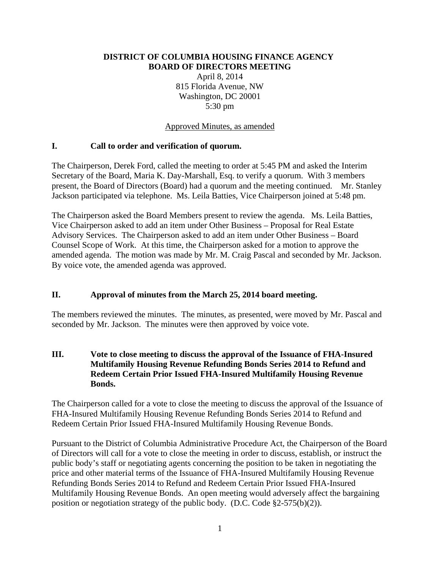#### **DISTRICT OF COLUMBIA HOUSING FINANCE AGENCY BOARD OF DIRECTORS MEETING**

April 8, 2014 815 Florida Avenue, NW Washington, DC 20001 5:30 pm

Approved Minutes, as amended

#### **I. Call to order and verification of quorum.**

The Chairperson, Derek Ford, called the meeting to order at 5:45 PM and asked the Interim Secretary of the Board, Maria K. Day-Marshall, Esq. to verify a quorum. With 3 members present, the Board of Directors (Board) had a quorum and the meeting continued. Mr. Stanley Jackson participated via telephone. Ms. Leila Batties, Vice Chairperson joined at 5:48 pm.

The Chairperson asked the Board Members present to review the agenda. Ms. Leila Batties, Vice Chairperson asked to add an item under Other Business – Proposal for Real Estate Advisory Services. The Chairperson asked to add an item under Other Business – Board Counsel Scope of Work. At this time, the Chairperson asked for a motion to approve the amended agenda. The motion was made by Mr. M. Craig Pascal and seconded by Mr. Jackson. By voice vote, the amended agenda was approved.

# **II. Approval of minutes from the March 25, 2014 board meeting.**

The members reviewed the minutes. The minutes, as presented, were moved by Mr. Pascal and seconded by Mr. Jackson. The minutes were then approved by voice vote.

#### **III. Vote to close meeting to discuss the approval of the Issuance of FHA-Insured Multifamily Housing Revenue Refunding Bonds Series 2014 to Refund and Redeem Certain Prior Issued FHA-Insured Multifamily Housing Revenue Bonds.**

The Chairperson called for a vote to close the meeting to discuss the approval of the Issuance of FHA-Insured Multifamily Housing Revenue Refunding Bonds Series 2014 to Refund and Redeem Certain Prior Issued FHA-Insured Multifamily Housing Revenue Bonds.

Pursuant to the District of Columbia Administrative Procedure Act, the Chairperson of the Board of Directors will call for a vote to close the meeting in order to discuss, establish, or instruct the public body's staff or negotiating agents concerning the position to be taken in negotiating the price and other material terms of the Issuance of FHA-Insured Multifamily Housing Revenue Refunding Bonds Series 2014 to Refund and Redeem Certain Prior Issued FHA-Insured Multifamily Housing Revenue Bonds. An open meeting would adversely affect the bargaining position or negotiation strategy of the public body. (D.C. Code §2-575(b)(2)).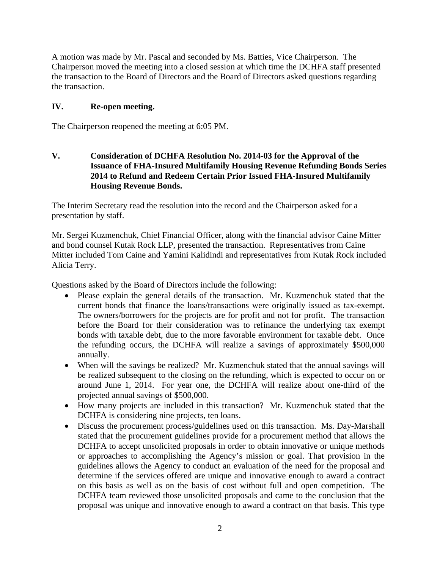A motion was made by Mr. Pascal and seconded by Ms. Batties, Vice Chairperson. The Chairperson moved the meeting into a closed session at which time the DCHFA staff presented the transaction to the Board of Directors and the Board of Directors asked questions regarding the transaction.

### **IV. Re-open meeting.**

The Chairperson reopened the meeting at 6:05 PM.

# **V. Consideration of DCHFA Resolution No. 2014-03 for the Approval of the Issuance of FHA-Insured Multifamily Housing Revenue Refunding Bonds Series 2014 to Refund and Redeem Certain Prior Issued FHA-Insured Multifamily Housing Revenue Bonds.**

The Interim Secretary read the resolution into the record and the Chairperson asked for a presentation by staff.

Mr. Sergei Kuzmenchuk, Chief Financial Officer, along with the financial advisor Caine Mitter and bond counsel Kutak Rock LLP, presented the transaction. Representatives from Caine Mitter included Tom Caine and Yamini Kalidindi and representatives from Kutak Rock included Alicia Terry.

Questions asked by the Board of Directors include the following:

- Please explain the general details of the transaction. Mr. Kuzmenchuk stated that the current bonds that finance the loans/transactions were originally issued as tax-exempt. The owners/borrowers for the projects are for profit and not for profit. The transaction before the Board for their consideration was to refinance the underlying tax exempt bonds with taxable debt, due to the more favorable environment for taxable debt. Once the refunding occurs, the DCHFA will realize a savings of approximately \$500,000 annually.
- When will the savings be realized? Mr. Kuzmenchuk stated that the annual savings will be realized subsequent to the closing on the refunding, which is expected to occur on or around June 1, 2014. For year one, the DCHFA will realize about one-third of the projected annual savings of \$500,000.
- How many projects are included in this transaction? Mr. Kuzmenchuk stated that the DCHFA is considering nine projects, ten loans.
- Discuss the procurement process/guidelines used on this transaction. Ms. Day-Marshall stated that the procurement guidelines provide for a procurement method that allows the DCHFA to accept unsolicited proposals in order to obtain innovative or unique methods or approaches to accomplishing the Agency's mission or goal. That provision in the guidelines allows the Agency to conduct an evaluation of the need for the proposal and determine if the services offered are unique and innovative enough to award a contract on this basis as well as on the basis of cost without full and open competition. The DCHFA team reviewed those unsolicited proposals and came to the conclusion that the proposal was unique and innovative enough to award a contract on that basis. This type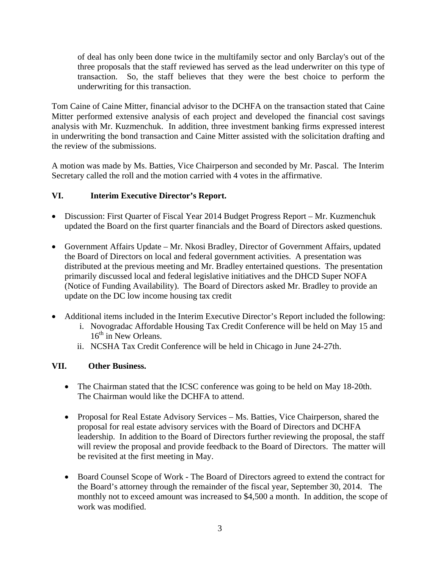of deal has only been done twice in the multifamily sector and only Barclay's out of the three proposals that the staff reviewed has served as the lead underwriter on this type of transaction. So, the staff believes that they were the best choice to perform the underwriting for this transaction.

Tom Caine of Caine Mitter, financial advisor to the DCHFA on the transaction stated that Caine Mitter performed extensive analysis of each project and developed the financial cost savings analysis with Mr. Kuzmenchuk. In addition, three investment banking firms expressed interest in underwriting the bond transaction and Caine Mitter assisted with the solicitation drafting and the review of the submissions.

A motion was made by Ms. Batties, Vice Chairperson and seconded by Mr. Pascal. The Interim Secretary called the roll and the motion carried with 4 votes in the affirmative.

# **VI. Interim Executive Director's Report.**

- Discussion: First Quarter of Fiscal Year 2014 Budget Progress Report Mr. Kuzmenchuk updated the Board on the first quarter financials and the Board of Directors asked questions.
- Government Affairs Update Mr. Nkosi Bradley, Director of Government Affairs, updated the Board of Directors on local and federal government activities. A presentation was distributed at the previous meeting and Mr. Bradley entertained questions. The presentation primarily discussed local and federal legislative initiatives and the DHCD Super NOFA (Notice of Funding Availability). The Board of Directors asked Mr. Bradley to provide an update on the DC low income housing tax credit
- Additional items included in the Interim Executive Director's Report included the following:
	- i. Novogradac Affordable Housing Tax Credit Conference will be held on May 15 and  $16<sup>th</sup>$  in New Orleans.
	- ii. NCSHA Tax Credit Conference will be held in Chicago in June 24-27th.

# **VII. Other Business.**

- The Chairman stated that the ICSC conference was going to be held on May 18-20th. The Chairman would like the DCHFA to attend.
- Proposal for Real Estate Advisory Services Ms. Batties, Vice Chairperson, shared the proposal for real estate advisory services with the Board of Directors and DCHFA leadership. In addition to the Board of Directors further reviewing the proposal, the staff will review the proposal and provide feedback to the Board of Directors. The matter will be revisited at the first meeting in May.
- Board Counsel Scope of Work The Board of Directors agreed to extend the contract for the Board's attorney through the remainder of the fiscal year, September 30, 2014. The monthly not to exceed amount was increased to \$4,500 a month. In addition, the scope of work was modified.